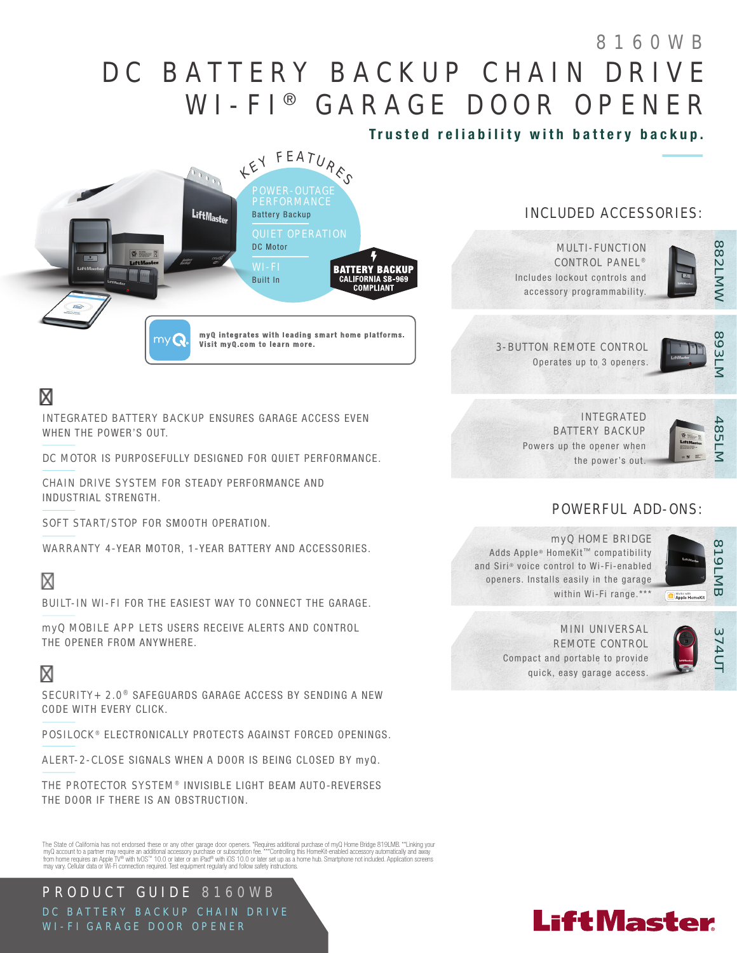# DC BATTERY BACKUP CHAIN DRIVE WI-FI® GARAGE DOOR OPENER 8160WB

Trusted reliability with battery backup.



## RELIABLE

INTEGRATED BATTERY BACKUP ENSURES GARAGE ACCESS EVEN WHEN THE POWER'S OUT.

DC MOTOR IS PURPOSEFULLY DESIGNED FOR QUIET PERFORMANCE.

CHAIN DRIVE SYSTEM FOR STEADY PERFORMANCE AND INDUSTRIAL STRENGTH.

SOFT START/STOP FOR SMOOTH OPERATION.

WARRANTY 4-YEAR MOTOR, 1-YEAR BATTERY AND ACCESSORIES.

## SMART

BUILT-IN WI-FI FOR THE EASIEST WAY TO CONNECT THE GARAGE.

myQ MOBILE APP LETS USERS RECEIVE ALERTS AND CONTROL THE OPENER FROM ANYWHERE.

## **SECURE**

SECURITY+ 2.0<sup>®</sup> SAFEGUARDS GARAGE ACCESS BY SENDING A NEW CODE WITH EVERY CLICK.

POSILOCK<sup>®</sup> ELECTRONICALLY PROTECTS AGAINST FORCED OPENINGS.

ALERT-2-CLOSE SIGNALS WHEN A DOOR IS BEING CLOSED BY myQ.

THE PROTECTOR SYSTEM<sup>®</sup> INVISIBLE LIGHT BEAM AUTO-REVERSES THE DOOR IF THERE IS AN OBSTRUCTION.

The State of California has not endorsed these or any other garage door openers. "Requires additional purchase of myQ Home Bridge 819LMB. ""Linking your<br>myQ account to a partner may require an additional accessory purchase

PRODUCT GUIDE 8160WB DC BATTERY BACKUP CHAIN DRIVE WI-FI GARAGE DOOR OPENER

### INCLUDED ACCESSORIES:



MULTI-FUNCTION CONTROL PANEL<sup>®</sup> Includes lockout controls and accessory programmability.

3-BUTTON REMOTE CONTROL Operates up to 3 openers.

893LI

INTEGRATED BATTERY BACKUP Powers up the opener when the power's out.



### POWERFUL ADD-ONS:



myQ HOME BRIDGE Adds Apple® HomeKit™ compatibility and Siri® voice control to Wi-Fi-enabled openers. Installs easily in the garage within Wi-Fi range.\*\*\*

Apple HomeKit

#### MINI UNIVERSAL REMOTE CONTROL

Compact and portable to provide quick, easy garage access.



# **LiftMaster**